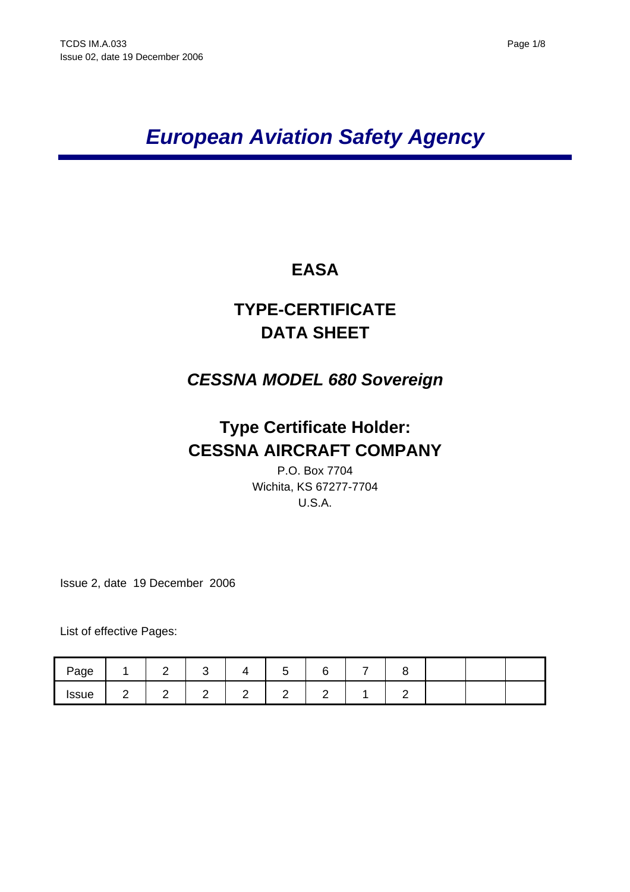# *European Aviation Safety Agency*

# **EASA**

# **TYPE-CERTIFICATE DATA SHEET**

# *CESSNA MODEL 680 Sovereign*

# **Type Certificate Holder: CESSNA AIRCRAFT COMPANY**

P.O. Box 7704 Wichita, KS 67277-7704 U.S.A.

Issue 2, date 19 December 2006

List of effective Pages:

| Page         |   |  |  |  |  |  |
|--------------|---|--|--|--|--|--|
| <b>Issue</b> | - |  |  |  |  |  |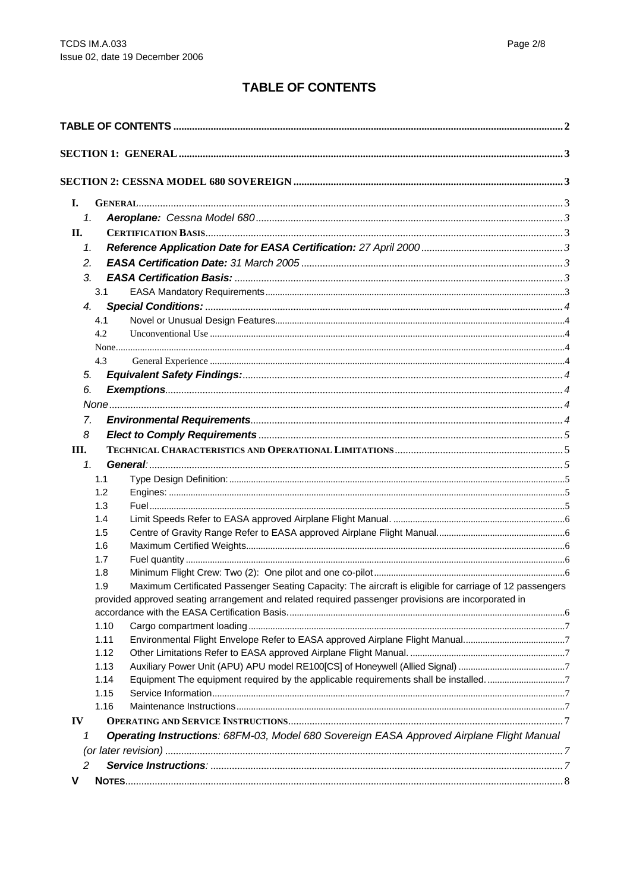## **TABLE OF CONTENTS**

<span id="page-1-0"></span>

| I.             |      |                                                                                                         |  |  |  |
|----------------|------|---------------------------------------------------------------------------------------------------------|--|--|--|
| 1.             |      |                                                                                                         |  |  |  |
| II.            |      |                                                                                                         |  |  |  |
| 1.             |      |                                                                                                         |  |  |  |
| 2.             |      |                                                                                                         |  |  |  |
| 3.             |      |                                                                                                         |  |  |  |
|                | 3.1  |                                                                                                         |  |  |  |
| 4.             |      |                                                                                                         |  |  |  |
|                | 4.1  |                                                                                                         |  |  |  |
|                | 4.2  |                                                                                                         |  |  |  |
|                |      |                                                                                                         |  |  |  |
|                | 4.3  |                                                                                                         |  |  |  |
| 5.             |      |                                                                                                         |  |  |  |
| 6.             |      |                                                                                                         |  |  |  |
|                |      |                                                                                                         |  |  |  |
| 7.             |      |                                                                                                         |  |  |  |
|                |      |                                                                                                         |  |  |  |
| 8              |      |                                                                                                         |  |  |  |
| Ш.             |      |                                                                                                         |  |  |  |
| 1 <sub>1</sub> |      |                                                                                                         |  |  |  |
|                | 1.1  |                                                                                                         |  |  |  |
|                | 1.2  |                                                                                                         |  |  |  |
|                | 1.3  |                                                                                                         |  |  |  |
|                | 1.4  |                                                                                                         |  |  |  |
|                | 1.5  |                                                                                                         |  |  |  |
|                | 1.6  |                                                                                                         |  |  |  |
|                | 1.7  |                                                                                                         |  |  |  |
|                | 1.8  | Maximum Certificated Passenger Seating Capacity: The aircraft is eligible for carriage of 12 passengers |  |  |  |
|                | 1.9  | provided approved seating arrangement and related required passenger provisions are incorporated in     |  |  |  |
|                |      |                                                                                                         |  |  |  |
|                | 1.10 |                                                                                                         |  |  |  |
|                | 1.11 |                                                                                                         |  |  |  |
|                | 1.12 |                                                                                                         |  |  |  |
|                | 1.13 |                                                                                                         |  |  |  |
|                | 1.14 | Equipment The equipment required by the applicable requirements shall be installed7                     |  |  |  |
|                | 1.15 |                                                                                                         |  |  |  |
|                | 1.16 |                                                                                                         |  |  |  |
| IV             |      |                                                                                                         |  |  |  |
| 1              |      | Operating Instructions: 68FM-03, Model 680 Sovereign EASA Approved Airplane Flight Manual               |  |  |  |
|                |      |                                                                                                         |  |  |  |
| 2              |      |                                                                                                         |  |  |  |
|                |      |                                                                                                         |  |  |  |
| v              |      |                                                                                                         |  |  |  |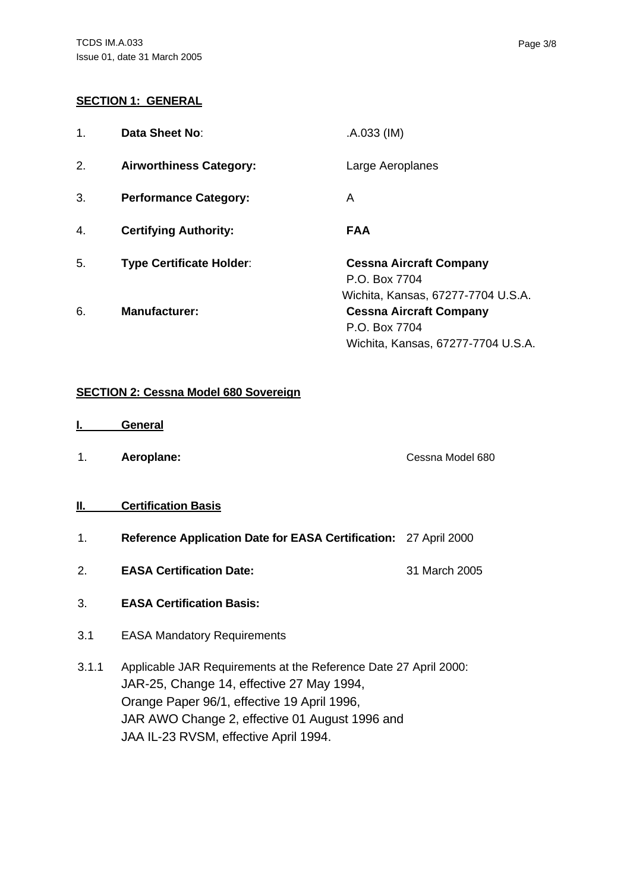#### <span id="page-2-0"></span>**SECTION 1: GENERAL**

| 1. | Data Sheet No:                  | .A.033 (IM)                                                                           |
|----|---------------------------------|---------------------------------------------------------------------------------------|
| 2. | <b>Airworthiness Category:</b>  | Large Aeroplanes                                                                      |
| 3. | <b>Performance Category:</b>    | A                                                                                     |
| 4. | <b>Certifying Authority:</b>    | <b>FAA</b>                                                                            |
| 5. | <b>Type Certificate Holder:</b> | <b>Cessna Aircraft Company</b><br>P.O. Box 7704<br>Wichita, Kansas, 67277-7704 U.S.A. |
| 6. | <b>Manufacturer:</b>            | <b>Cessna Aircraft Company</b><br>P.O. Box 7704<br>Wichita, Kansas, 67277-7704 U.S.A. |

#### **SECTION 2: Cessna Model 680 Sovereign**

- **I. General**
- 1. **Aeroplane:** Cessna Model 680

#### **II. Certification Basis**

- 1. **Reference Application Date for EASA Certification:** 27 April 2000
- 2. **EASA Certification Date:** 31 March 2005
- 3. **EASA Certification Basis:**
- 3.1 EASA Mandatory Requirements
- 3.1.1 Applicable JAR Requirements at the Reference Date 27 April 2000: JAR-25, Change 14, effective 27 May 1994, Orange Paper 96/1, effective 19 April 1996, JAR AWO Change 2, effective 01 August 1996 and JAA IL-23 RVSM, effective April 1994.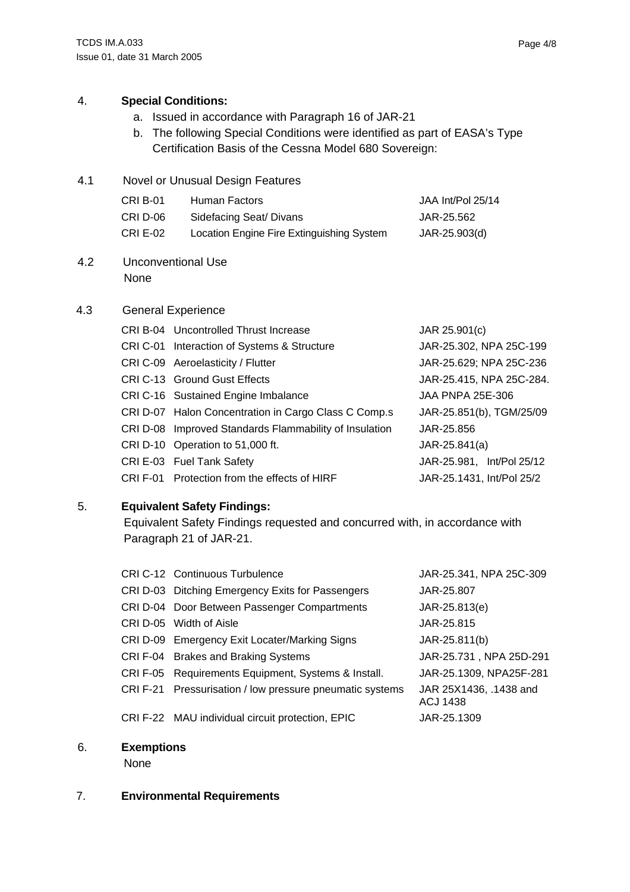#### <span id="page-3-0"></span>4. **Special Conditions:**

- a. Issued in accordance with Paragraph 16 of JAR-21
- b. The following Special Conditions were identified as part of EASA's Type Certification Basis of the Cessna Model 680 Sovereign:
- 4.1 Novel or Unusual Design Features

| CRI B-01 | Human Factors                             | JAA Int/Pol 25/14 |
|----------|-------------------------------------------|-------------------|
| CRI D-06 | Sidefacing Seat/ Divans                   | JAR-25.562        |
| CRI E-02 | Location Engine Fire Extinguishing System | JAR-25.903(d)     |

4.2 Unconventional Use None

#### 4.3 General Experience

| <b>CRI B-04</b> Uncontrolled Thrust Increase           | JAR 25.901(c)             |
|--------------------------------------------------------|---------------------------|
| CRI C-01 Interaction of Systems & Structure            | JAR-25.302, NPA 25C-199   |
| CRI C-09 Aeroelasticity / Flutter                      | JAR-25.629; NPA 25C-236   |
| CRI C-13 Ground Gust Effects                           | JAR-25.415, NPA 25C-284.  |
| CRI C-16 Sustained Engine Imbalance                    | <b>JAA PNPA 25E-306</b>   |
| CRI D-07 Halon Concentration in Cargo Class C Comp.s   | JAR-25.851(b), TGM/25/09  |
| CRI D-08 Improved Standards Flammability of Insulation | JAR-25.856                |
| CRI D-10 Operation to 51,000 ft.                       | $JAR-25.841(a)$           |
| CRI E-03 Fuel Tank Safety                              | JAR-25.981, Int/Pol 25/12 |
| CRI F-01 Protection from the effects of HIRF           | JAR-25.1431, Int/Pol 25/2 |

### 5. **Equivalent Safety Findings:**

Equivalent Safety Findings requested and concurred with, in accordance with Paragraph 21 of JAR-21.

| CRI C-12 Continuous Turbulence                           | JAR-25.341, NPA 25C-309                   |
|----------------------------------------------------------|-------------------------------------------|
| CRI D-03 Ditching Emergency Exits for Passengers         | JAR-25.807                                |
| CRI D-04 Door Between Passenger Compartments             | JAR-25.813(e)                             |
| CRI D-05 Width of Aisle                                  | JAR-25.815                                |
| CRI D-09 Emergency Exit Locater/Marking Signs            | JAR-25.811(b)                             |
| CRI F-04 Brakes and Braking Systems                      | JAR-25.731, NPA 25D-291                   |
| CRI F-05 Requirements Equipment, Systems & Install.      | JAR-25.1309, NPA25F-281                   |
| CRI F-21 Pressurisation / low pressure pneumatic systems | JAR 25X1436, .1438 and<br><b>ACJ 1438</b> |
| CRI F-22 MAU individual circuit protection, EPIC         | JAR-25.1309                               |

#### 6. **Exemptions**

None

#### 7. **Environmental Requirements**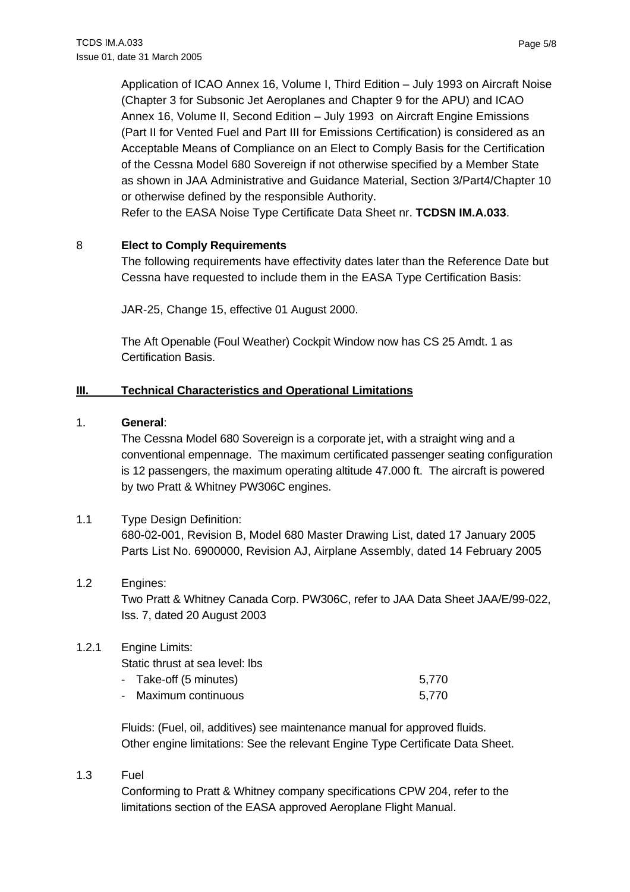<span id="page-4-0"></span>Application of ICAO Annex 16, Volume I, Third Edition – July 1993 on Aircraft Noise (Chapter 3 for Subsonic Jet Aeroplanes and Chapter 9 for the APU) and ICAO Annex 16, Volume II, Second Edition – July 1993 on Aircraft Engine Emissions (Part II for Vented Fuel and Part III for Emissions Certification) is considered as an Acceptable Means of Compliance on an Elect to Comply Basis for the Certification of the Cessna Model 680 Sovereign if not otherwise specified by a Member State as shown in JAA Administrative and Guidance Material, Section 3/Part4/Chapter 10 or otherwise defined by the responsible Authority.

Refer to the EASA Noise Type Certificate Data Sheet nr. **TCDSN IM.A.033**.

#### 8 **Elect to Comply Requirements**

The following requirements have effectivity dates later than the Reference Date but Cessna have requested to include them in the EASA Type Certification Basis:

JAR-25, Change 15, effective 01 August 2000.

The Aft Openable (Foul Weather) Cockpit Window now has CS 25 Amdt. 1 as Certification Basis.

#### **III. Technical Characteristics and Operational Limitations**

#### 1. **General**:

The Cessna Model 680 Sovereign is a corporate jet, with a straight wing and a conventional empennage. The maximum certificated passenger seating configuration is 12 passengers, the maximum operating altitude 47.000 ft. The aircraft is powered by two Pratt & Whitney PW306C engines.

#### 1.1 Type Design Definition:

680-02-001, Revision B, Model 680 Master Drawing List, dated 17 January 2005 Parts List No. 6900000, Revision AJ, Airplane Assembly, dated 14 February 2005

#### 1.2 Engines:

Two Pratt & Whitney Canada Corp. PW306C, refer to JAA Data Sheet JAA/E/99-022, Iss. 7, dated 20 August 2003

#### 1.2.1 Engine Limits:

Static thrust at sea level: lbs

| - Take-off (5 minutes) | 5.770 |
|------------------------|-------|
| - Maximum continuous   | 5.770 |

Fluids: (Fuel, oil, additives) see maintenance manual for approved fluids. Other engine limitations: See the relevant Engine Type Certificate Data Sheet.

1.3 Fuel

Conforming to Pratt & Whitney company specifications CPW 204, refer to the limitations section of the EASA approved Aeroplane Flight Manual.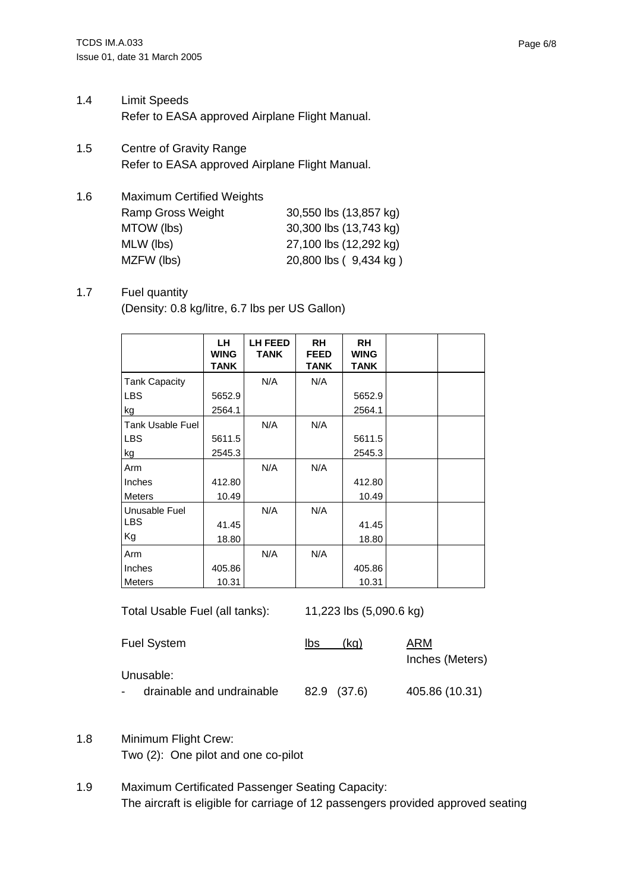- <span id="page-5-0"></span>1.4 Limit Speeds Refer to EASA approved Airplane Flight Manual.
- 1.5 Centre of Gravity Range Refer to EASA approved Airplane Flight Manual.
- 1.6 Maximum Certified Weights Ramp Gross Weight 30,550 lbs (13,857 kg) MTOW (lbs) 30,300 lbs (13,743 kg) MLW (lbs) 27,100 lbs (12,292 kg) MZFW (lbs) 20,800 lbs (9,434 kg)

#### 1.7 Fuel quantity (Density: 0.8 kg/litre, 6.7 lbs per US Gallon)

|                      | LH<br><b>WING</b><br>TANK | <b>LH FEED</b><br><b>TANK</b> | <b>RH</b><br><b>FEED</b><br><b>TANK</b> | RH<br><b>WING</b><br><b>TANK</b> |  |
|----------------------|---------------------------|-------------------------------|-----------------------------------------|----------------------------------|--|
| <b>Tank Capacity</b> |                           | N/A                           | N/A                                     |                                  |  |
| <b>LBS</b>           | 5652.9                    |                               |                                         | 5652.9                           |  |
| kg                   | 2564.1                    |                               |                                         | 2564.1                           |  |
| Tank Usable Fuel     |                           | N/A                           | N/A                                     |                                  |  |
| <b>LBS</b>           | 5611.5                    |                               |                                         | 5611.5                           |  |
| kg                   | 2545.3                    |                               |                                         | 2545.3                           |  |
| Arm                  |                           | N/A                           | N/A                                     |                                  |  |
| Inches               | 412.80                    |                               |                                         | 412.80                           |  |
| Meters               | 10.49                     |                               |                                         | 10.49                            |  |
| Unusable Fuel        |                           | N/A                           | N/A                                     |                                  |  |
| <b>LBS</b>           | 41.45                     |                               |                                         | 41.45                            |  |
| Kg                   | 18.80                     |                               |                                         | 18.80                            |  |
| Arm                  |                           | N/A                           | N/A                                     |                                  |  |
| Inches               | 405.86                    |                               |                                         | 405.86                           |  |
| <b>Meters</b>        | 10.31                     |                               |                                         | 10.31                            |  |

Total Usable Fuel (all tanks): 11,223 lbs (5,090.6 kg)

| <b>Fuel System</b>        | lbs<br>(ka) | ARM             |
|---------------------------|-------------|-----------------|
|                           |             | Inches (Meters) |
| Unusable:                 |             |                 |
| drainable and undrainable | 82.9 (37.6) | 405.86 (10.31)  |

- 1.8 Minimum Flight Crew: Two (2): One pilot and one co-pilot
- 1.9 Maximum Certificated Passenger Seating Capacity: The aircraft is eligible for carriage of 12 passengers provided approved seating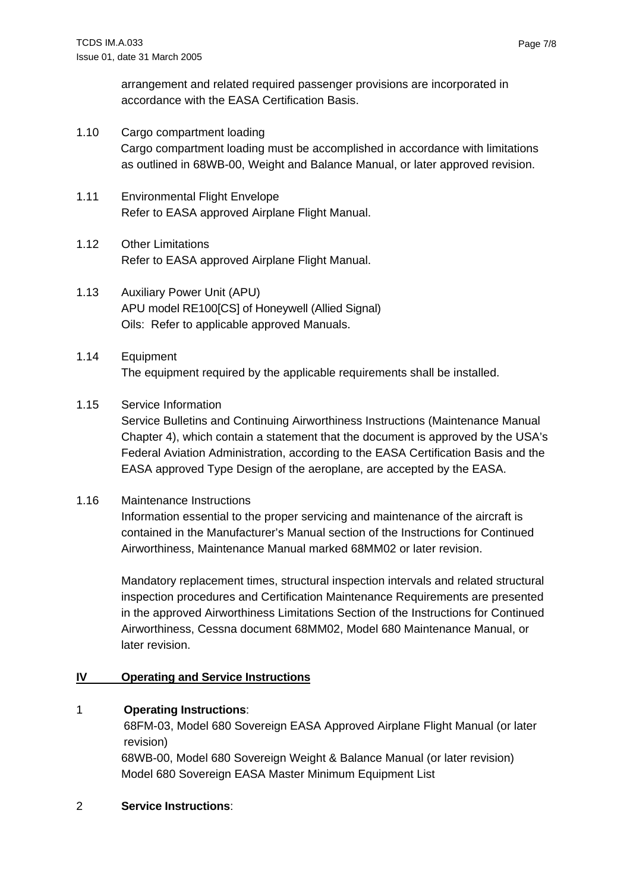<span id="page-6-0"></span>arrangement and related required passenger provisions are incorporated in accordance with the EASA Certification Basis.

- 1.10 Cargo compartment loading Cargo compartment loading must be accomplished in accordance with limitations as outlined in 68WB-00, Weight and Balance Manual, or later approved revision.
- 1.11 Environmental Flight Envelope Refer to EASA approved Airplane Flight Manual.
- 1.12 Other Limitations Refer to EASA approved Airplane Flight Manual.
- 1.13 Auxiliary Power Unit (APU) APU model RE100[CS] of Honeywell (Allied Signal) Oils: Refer to applicable approved Manuals.
- 1.14 Equipment The equipment required by the applicable requirements shall be installed.

### 1.15 Service Information

Service Bulletins and Continuing Airworthiness Instructions (Maintenance Manual Chapter 4), which contain a statement that the document is approved by the USA's Federal Aviation Administration, according to the EASA Certification Basis and the EASA approved Type Design of the aeroplane, are accepted by the EASA.

#### 1.16 Maintenance Instructions

 Information essential to the proper servicing and maintenance of the aircraft is contained in the Manufacturer's Manual section of the Instructions for Continued Airworthiness, Maintenance Manual marked 68MM02 or later revision.

Mandatory replacement times, structural inspection intervals and related structural inspection procedures and Certification Maintenance Requirements are presented in the approved Airworthiness Limitations Section of the Instructions for Continued Airworthiness, Cessna document 68MM02, Model 680 Maintenance Manual, or later revision.

### **IV Operating and Service Instructions**

### 1 **Operating Instructions**:

68FM-03, Model 680 Sovereign EASA Approved Airplane Flight Manual (or later revision)

68WB-00, Model 680 Sovereign Weight & Balance Manual (or later revision) Model 680 Sovereign EASA Master Minimum Equipment List

### 2 **Service Instructions**: